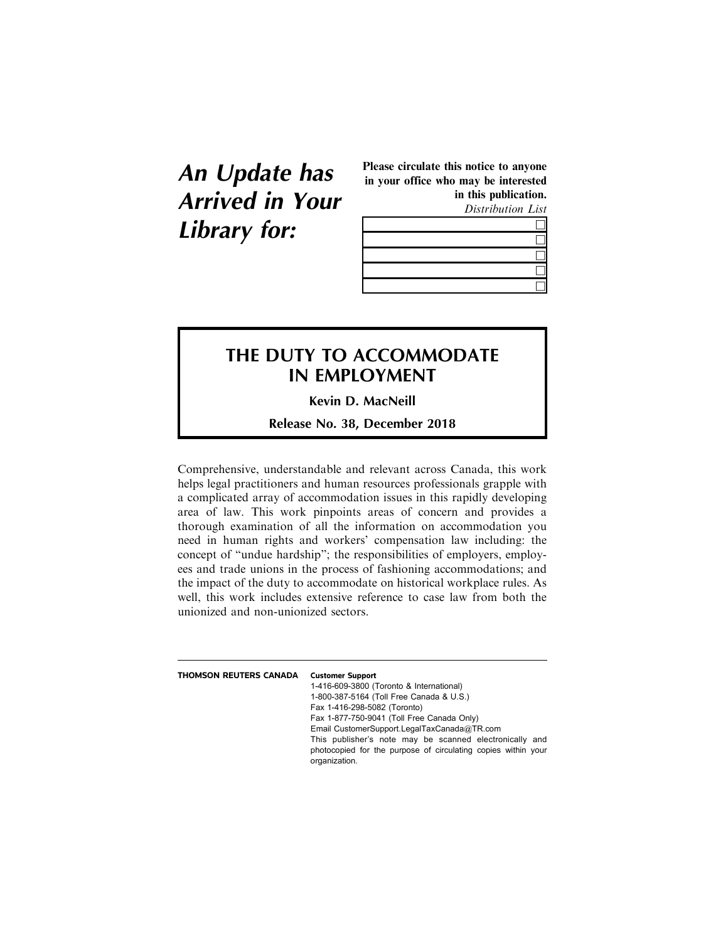## **An Update has Arrived in Your Library for:**

Please circulate this notice to anyone in your office who may be interested in this publication.

Distribution List



## **THE DUTY TO ACCOMMODATE IN EMPLOYMENT**

**Kevin D. MacNeill**

**Release No. 38, December 2018**

Comprehensive, understandable and relevant across Canada, this work helps legal practitioners and human resources professionals grapple with a complicated array of accommodation issues in this rapidly developing area of law. This work pinpoints areas of concern and provides a thorough examination of all the information on accommodation you need in human rights and workers' compensation law including: the concept of "undue hardship"; the responsibilities of employers, employees and trade unions in the process of fashioning accommodations; and the impact of the duty to accommodate on historical workplace rules. As well, this work includes extensive reference to case law from both the unionized and non-unionized sectors.

| THOMSON REUTERS CANADA | <b>Customer Support</b><br>1-416-609-3800 (Toronto & International)<br>1-800-387-5164 (Toll Free Canada & U.S.)                                                                                                                                                        |
|------------------------|------------------------------------------------------------------------------------------------------------------------------------------------------------------------------------------------------------------------------------------------------------------------|
|                        | Fax 1-416-298-5082 (Toronto)<br>Fax 1-877-750-9041 (Toll Free Canada Only)<br>Email CustomerSupport.LegalTaxCanada@TR.com<br>This publisher's note may be scanned electronically and<br>photocopied for the purpose of circulating copies within your<br>organization. |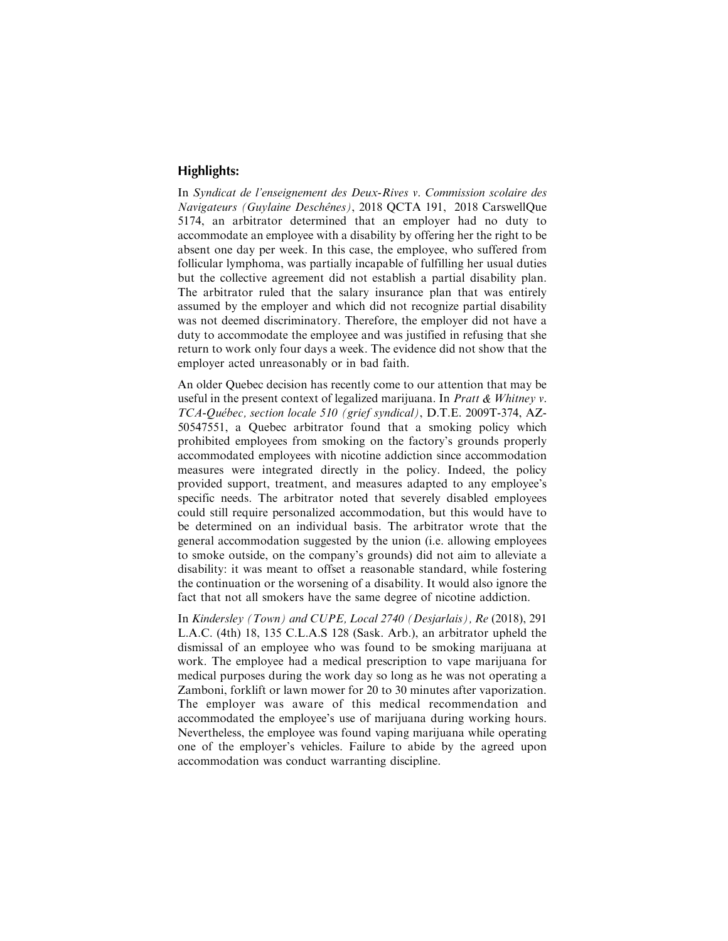## **Highlights:**

In Syndicat de l'enseignement des Deux-Rives v. Commission scolaire des Navigateurs (Guylaine Deschênes), 2018 QCTA 191, 2018 CarswellQue 5174, an arbitrator determined that an employer had no duty to accommodate an employee with a disability by offering her the right to be absent one day per week. In this case, the employee, who suffered from follicular lymphoma, was partially incapable of fulfilling her usual duties but the collective agreement did not establish a partial disability plan. The arbitrator ruled that the salary insurance plan that was entirely assumed by the employer and which did not recognize partial disability was not deemed discriminatory. Therefore, the employer did not have a duty to accommodate the employee and was justified in refusing that she return to work only four days a week. The evidence did not show that the employer acted unreasonably or in bad faith.

An older Quebec decision has recently come to our attention that may be useful in the present context of legalized marijuana. In Pratt & Whitney v. TCA-Québec, section locale 510 (grief syndical), D.T.E. 2009T-374, AZ-50547551, a Quebec arbitrator found that a smoking policy which prohibited employees from smoking on the factory's grounds properly accommodated employees with nicotine addiction since accommodation measures were integrated directly in the policy. Indeed, the policy provided support, treatment, and measures adapted to any employee's specific needs. The arbitrator noted that severely disabled employees could still require personalized accommodation, but this would have to be determined on an individual basis. The arbitrator wrote that the general accommodation suggested by the union (i.e. allowing employees to smoke outside, on the company's grounds) did not aim to alleviate a disability: it was meant to offset a reasonable standard, while fostering the continuation or the worsening of a disability. It would also ignore the fact that not all smokers have the same degree of nicotine addiction.

In Kindersley (Town) and CUPE, Local 2740 (Desjarlais), Re (2018), 291 L.A.C. (4th) 18, 135 C.L.A.S 128 (Sask. Arb.), an arbitrator upheld the dismissal of an employee who was found to be smoking marijuana at work. The employee had a medical prescription to vape marijuana for medical purposes during the work day so long as he was not operating a Zamboni, forklift or lawn mower for 20 to 30 minutes after vaporization. The employer was aware of this medical recommendation and accommodated the employee's use of marijuana during working hours. Nevertheless, the employee was found vaping marijuana while operating one of the employer's vehicles. Failure to abide by the agreed upon accommodation was conduct warranting discipline.